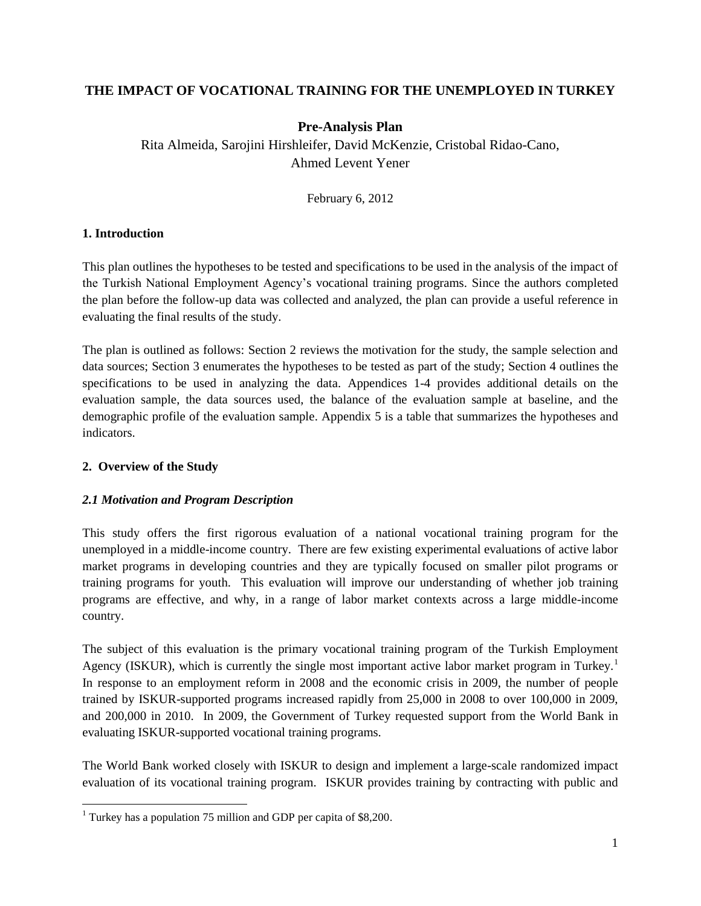# **THE IMPACT OF VOCATIONAL TRAINING FOR THE UNEMPLOYED IN TURKEY**

# **Pre-Analysis Plan**

Rita Almeida, Sarojini Hirshleifer, David McKenzie, Cristobal Ridao-Cano, Ahmed Levent Yener

February 6, 2012

#### **1. Introduction**

This plan outlines the hypotheses to be tested and specifications to be used in the analysis of the impact of the Turkish National Employment Agency's vocational training programs. Since the authors completed the plan before the follow-up data was collected and analyzed, the plan can provide a useful reference in evaluating the final results of the study.

The plan is outlined as follows: Section 2 reviews the motivation for the study, the sample selection and data sources; Section 3 enumerates the hypotheses to be tested as part of the study; Section 4 outlines the specifications to be used in analyzing the data. Appendices 1-4 provides additional details on the evaluation sample, the data sources used, the balance of the evaluation sample at baseline, and the demographic profile of the evaluation sample. Appendix 5 is a table that summarizes the hypotheses and indicators.

#### **2. Overview of the Study**

 $\overline{\phantom{a}}$ 

#### *2.1 Motivation and Program Description*

This study offers the first rigorous evaluation of a national vocational training program for the unemployed in a middle-income country. There are few existing experimental evaluations of active labor market programs in developing countries and they are typically focused on smaller pilot programs or training programs for youth. This evaluation will improve our understanding of whether job training programs are effective, and why, in a range of labor market contexts across a large middle-income country.

The subject of this evaluation is the primary vocational training program of the Turkish Employment Agency (ISKUR), which is currently the single most important active labor market program in Turkey.<sup>1</sup> In response to an employment reform in 2008 and the economic crisis in 2009, the number of people trained by ISKUR-supported programs increased rapidly from 25,000 in 2008 to over 100,000 in 2009, and 200,000 in 2010. In 2009, the Government of Turkey requested support from the World Bank in evaluating ISKUR-supported vocational training programs.

The World Bank worked closely with ISKUR to design and implement a large-scale randomized impact evaluation of its vocational training program. ISKUR provides training by contracting with public and

<sup>&</sup>lt;sup>1</sup> Turkey has a population 75 million and GDP per capita of \$8,200.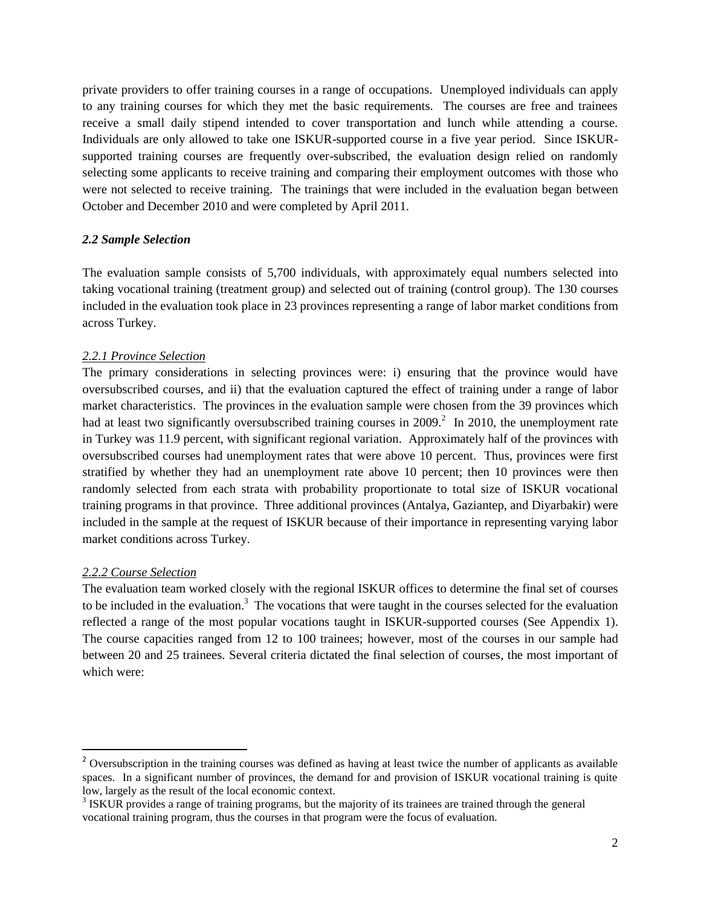private providers to offer training courses in a range of occupations. Unemployed individuals can apply to any training courses for which they met the basic requirements. The courses are free and trainees receive a small daily stipend intended to cover transportation and lunch while attending a course. Individuals are only allowed to take one ISKUR-supported course in a five year period. Since ISKURsupported training courses are frequently over-subscribed, the evaluation design relied on randomly selecting some applicants to receive training and comparing their employment outcomes with those who were not selected to receive training. The trainings that were included in the evaluation began between October and December 2010 and were completed by April 2011.

#### *2.2 Sample Selection*

The evaluation sample consists of 5,700 individuals, with approximately equal numbers selected into taking vocational training (treatment group) and selected out of training (control group). The 130 courses included in the evaluation took place in 23 provinces representing a range of labor market conditions from across Turkey.

#### *2.2.1 Province Selection*

The primary considerations in selecting provinces were: i) ensuring that the province would have oversubscribed courses, and ii) that the evaluation captured the effect of training under a range of labor market characteristics. The provinces in the evaluation sample were chosen from the 39 provinces which had at least two significantly oversubscribed training courses in 2009.<sup>2</sup> In 2010, the unemployment rate in Turkey was 11.9 percent, with significant regional variation. Approximately half of the provinces with oversubscribed courses had unemployment rates that were above 10 percent. Thus, provinces were first stratified by whether they had an unemployment rate above 10 percent; then 10 provinces were then randomly selected from each strata with probability proportionate to total size of ISKUR vocational training programs in that province. Three additional provinces (Antalya, Gaziantep, and Diyarbakir) were included in the sample at the request of ISKUR because of their importance in representing varying labor market conditions across Turkey.

#### *2.2.2 Course Selection*

 $\overline{\phantom{a}}$ 

The evaluation team worked closely with the regional ISKUR offices to determine the final set of courses to be included in the evaluation.<sup>3</sup> The vocations that were taught in the courses selected for the evaluation reflected a range of the most popular vocations taught in ISKUR-supported courses (See Appendix 1). The course capacities ranged from 12 to 100 trainees; however, most of the courses in our sample had between 20 and 25 trainees. Several criteria dictated the final selection of courses, the most important of which were:

<sup>&</sup>lt;sup>2</sup> Oversubscription in the training courses was defined as having at least twice the number of applicants as available spaces. In a significant number of provinces, the demand for and provision of ISKUR vocational training is quite low, largely as the result of the local economic context.

<sup>&</sup>lt;sup>3</sup> ISKUR provides a range of training programs, but the majority of its trainees are trained through the general vocational training program, thus the courses in that program were the focus of evaluation.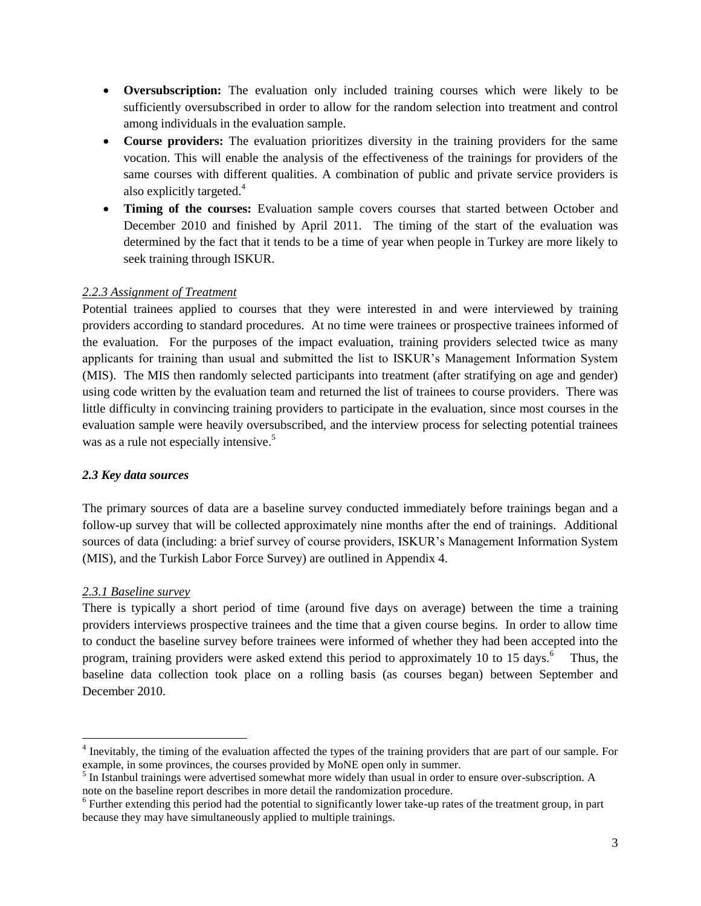- **Oversubscription:** The evaluation only included training courses which were likely to be sufficiently oversubscribed in order to allow for the random selection into treatment and control among individuals in the evaluation sample.
- **Course providers:** The evaluation prioritizes diversity in the training providers for the same vocation. This will enable the analysis of the effectiveness of the trainings for providers of the same courses with different qualities. A combination of public and private service providers is also explicitly targeted.<sup>4</sup>
- **Timing of the courses:** Evaluation sample covers courses that started between October and December 2010 and finished by April 2011. The timing of the start of the evaluation was determined by the fact that it tends to be a time of year when people in Turkey are more likely to seek training through ISKUR.

### *2.2.3 Assignment of Treatment*

Potential trainees applied to courses that they were interested in and were interviewed by training providers according to standard procedures. At no time were trainees or prospective trainees informed of the evaluation. For the purposes of the impact evaluation, training providers selected twice as many applicants for training than usual and submitted the list to ISKUR's Management Information System (MIS). The MIS then randomly selected participants into treatment (after stratifying on age and gender) using code written by the evaluation team and returned the list of trainees to course providers. There was little difficulty in convincing training providers to participate in the evaluation, since most courses in the evaluation sample were heavily oversubscribed, and the interview process for selecting potential trainees was as a rule not especially intensive.<sup>5</sup>

### *2.3 Key data sources*

The primary sources of data are a baseline survey conducted immediately before trainings began and a follow-up survey that will be collected approximately nine months after the end of trainings. Additional sources of data (including: a brief survey of course providers, ISKUR's Management Information System (MIS), and the Turkish Labor Force Survey) are outlined in Appendix 4.

### *2.3.1 Baseline survey*

l

There is typically a short period of time (around five days on average) between the time a training providers interviews prospective trainees and the time that a given course begins. In order to allow time to conduct the baseline survey before trainees were informed of whether they had been accepted into the program, training providers were asked extend this period to approximately 10 to 15 days.<sup>6</sup> Thus, the baseline data collection took place on a rolling basis (as courses began) between September and December 2010.

<sup>&</sup>lt;sup>4</sup> Inevitably, the timing of the evaluation affected the types of the training providers that are part of our sample. For example, in some provinces, the courses provided by MoNE open only in summer.

<sup>&</sup>lt;sup>5</sup> In Istanbul trainings were advertised somewhat more widely than usual in order to ensure over-subscription. A note on the baseline report describes in more detail the randomization procedure.

 $6$  Further extending this period had the potential to significantly lower take-up rates of the treatment group, in part because they may have simultaneously applied to multiple trainings.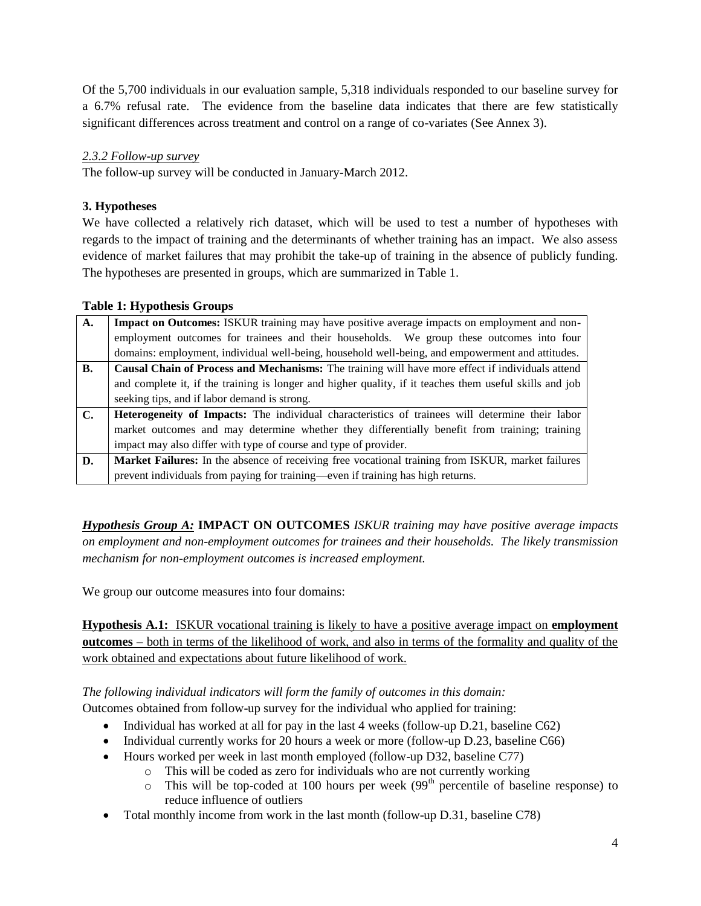Of the 5,700 individuals in our evaluation sample, 5,318 individuals responded to our baseline survey for a 6.7% refusal rate. The evidence from the baseline data indicates that there are few statistically significant differences across treatment and control on a range of co-variates (See Annex 3).

### *2.3.2 Follow-up survey*

The follow-up survey will be conducted in January-March 2012.

# **3. Hypotheses**

We have collected a relatively rich dataset, which will be used to test a number of hypotheses with regards to the impact of training and the determinants of whether training has an impact. We also assess evidence of market failures that may prohibit the take-up of training in the absence of publicly funding. The hypotheses are presented in groups, which are summarized in Table 1.

### **Table 1: Hypothesis Groups**

| $\overline{\mathbf{A}}$ . | Impact on Outcomes: ISKUR training may have positive average impacts on employment and non-             |  |  |  |
|---------------------------|---------------------------------------------------------------------------------------------------------|--|--|--|
|                           | employment outcomes for trainees and their households. We group these outcomes into four                |  |  |  |
|                           | domains: employment, individual well-being, household well-being, and empowerment and attitudes.        |  |  |  |
| <b>B.</b>                 | Causal Chain of Process and Mechanisms: The training will have more effect if individuals attend        |  |  |  |
|                           | and complete it, if the training is longer and higher quality, if it teaches them useful skills and job |  |  |  |
|                           | seeking tips, and if labor demand is strong.                                                            |  |  |  |
| $\mathbf{C}$ .            | <b>Heterogeneity of Impacts:</b> The individual characteristics of trainees will determine their labor  |  |  |  |
|                           | market outcomes and may determine whether they differentially benefit from training; training           |  |  |  |
|                           | impact may also differ with type of course and type of provider.                                        |  |  |  |
| D.                        | Market Failures: In the absence of receiving free vocational training from ISKUR, market failures       |  |  |  |
|                           | prevent individuals from paying for training—even if training has high returns.                         |  |  |  |

*Hypothesis Group A:* **IMPACT ON OUTCOMES** *ISKUR training may have positive average impacts on employment and non-employment outcomes for trainees and their households. The likely transmission mechanism for non-employment outcomes is increased employment.*

We group our outcome measures into four domains:

**Hypothesis A.1:** ISKUR vocational training is likely to have a positive average impact on **employment outcomes –** both in terms of the likelihood of work, and also in terms of the formality and quality of the work obtained and expectations about future likelihood of work.

*The following individual indicators will form the family of outcomes in this domain:* Outcomes obtained from follow-up survey for the individual who applied for training:

- Individual has worked at all for pay in the last 4 weeks (follow-up D.21, baseline C62)
- Individual currently works for 20 hours a week or more (follow-up D.23, baseline C66)
- Hours worked per week in last month employed (follow-up D32, baseline C77)
	- o This will be coded as zero for individuals who are not currently working
	- $\circ$  This will be top-coded at 100 hours per week (99<sup>th</sup> percentile of baseline response) to reduce influence of outliers
- Total monthly income from work in the last month (follow-up D.31, baseline C78)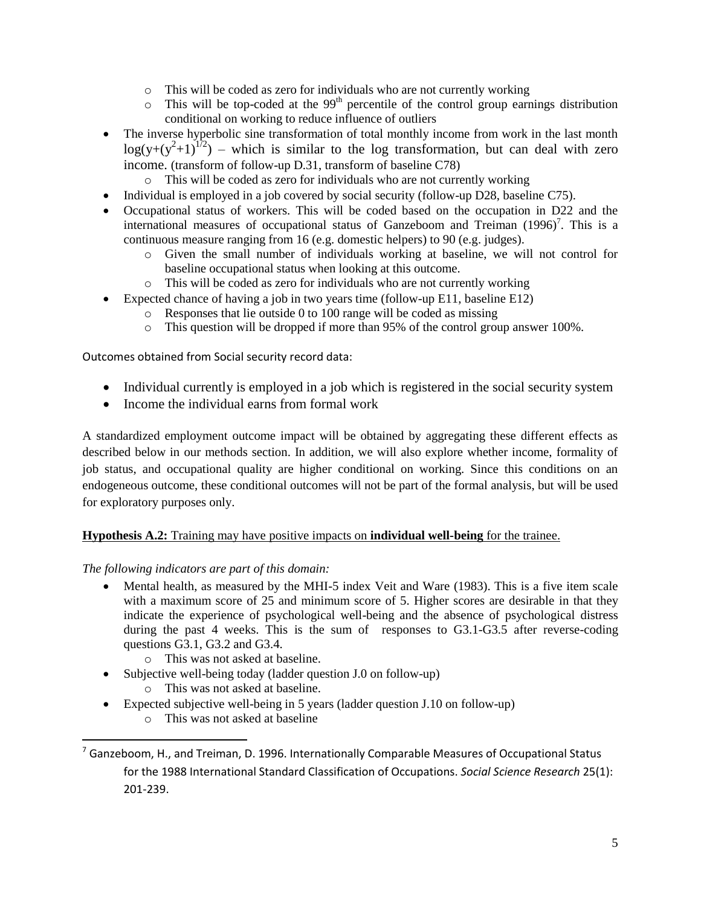- o This will be coded as zero for individuals who are not currently working
- $\circ$  This will be top-coded at the 99<sup>th</sup> percentile of the control group earnings distribution conditional on working to reduce influence of outliers
- The inverse hyperbolic sine transformation of total monthly income from work in the last month  $log(y+(y^2+1)^{1/2})$  – which is similar to the log transformation, but can deal with zero income. (transform of follow-up D.31, transform of baseline C78)
	- o This will be coded as zero for individuals who are not currently working
- Individual is employed in a job covered by social security (follow-up D28, baseline C75).
- Occupational status of workers. This will be coded based on the occupation in D22 and the international measures of occupational status of Ganzeboom and Treiman  $(1996)^7$ . This is a continuous measure ranging from 16 (e.g. domestic helpers) to 90 (e.g. judges).
	- o Given the small number of individuals working at baseline, we will not control for baseline occupational status when looking at this outcome.
	- o This will be coded as zero for individuals who are not currently working
- Expected chance of having a job in two years time (follow-up E11, baseline E12)
	- o Responses that lie outside 0 to 100 range will be coded as missing
		- o This question will be dropped if more than 95% of the control group answer 100%.

Outcomes obtained from Social security record data:

- Individual currently is employed in a job which is registered in the social security system
- Income the individual earns from formal work

A standardized employment outcome impact will be obtained by aggregating these different effects as described below in our methods section. In addition, we will also explore whether income, formality of job status, and occupational quality are higher conditional on working. Since this conditions on an endogeneous outcome, these conditional outcomes will not be part of the formal analysis, but will be used for exploratory purposes only.

#### **Hypothesis A.2:** Training may have positive impacts on **individual well-being** for the trainee.

*The following indicators are part of this domain:*

- Mental health, as measured by the MHI-5 index Veit and Ware (1983). This is a five item scale with a maximum score of 25 and minimum score of 5. Higher scores are desirable in that they indicate the experience of psychological well-being and the absence of psychological distress during the past 4 weeks. This is the sum of responses to G3.1-G3.5 after reverse-coding questions G3.1, G3.2 and G3.4.
	- o This was not asked at baseline.
- Subjective well-being today (ladder question J.0 on follow-up)
	- o This was not asked at baseline.
- Expected subjective well-being in 5 years (ladder question J.10 on follow-up)
	- o This was not asked at baseline

 $\overline{\phantom{a}}$ 

 $7$  Ganzeboom, H., and Treiman, D. 1996. Internationally Comparable Measures of Occupational Status for the 1988 International Standard Classification of Occupations. *Social Science Research* 25(1): 201-239.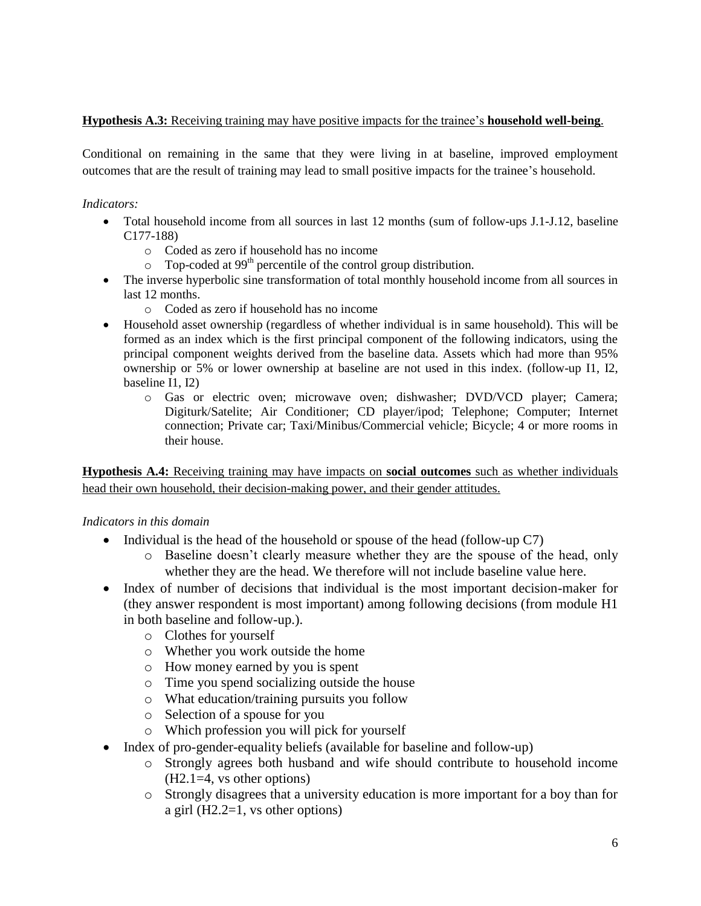### **Hypothesis A.3:** Receiving training may have positive impacts for the trainee's **household well-being**.

Conditional on remaining in the same that they were living in at baseline, improved employment outcomes that are the result of training may lead to small positive impacts for the trainee's household.

### *Indicators:*

- Total household income from all sources in last 12 months (sum of follow-ups J.1-J.12, baseline C177-188)
	- o Coded as zero if household has no income
	- $\circ$  Top-coded at 99<sup>th</sup> percentile of the control group distribution.
- The inverse hyperbolic sine transformation of total monthly household income from all sources in last 12 months.
	- o Coded as zero if household has no income
- Household asset ownership (regardless of whether individual is in same household). This will be formed as an index which is the first principal component of the following indicators, using the principal component weights derived from the baseline data. Assets which had more than 95% ownership or 5% or lower ownership at baseline are not used in this index. (follow-up I1, I2, baseline I1, I2)
	- o Gas or electric oven; microwave oven; dishwasher; DVD/VCD player; Camera; Digiturk/Satelite; Air Conditioner; CD player/ipod; Telephone; Computer; Internet connection; Private car; Taxi/Minibus/Commercial vehicle; Bicycle; 4 or more rooms in their house.

**Hypothesis A.4:** Receiving training may have impacts on **social outcomes** such as whether individuals head their own household, their decision-making power, and their gender attitudes.

### *Indicators in this domain*

- Individual is the head of the household or spouse of the head (follow-up  $C7$ )
	- o Baseline doesn't clearly measure whether they are the spouse of the head, only whether they are the head. We therefore will not include baseline value here.
- Index of number of decisions that individual is the most important decision-maker for (they answer respondent is most important) among following decisions (from module H1 in both baseline and follow-up.).
	- o Clothes for yourself
	- o Whether you work outside the home
	- o How money earned by you is spent
	- o Time you spend socializing outside the house
	- o What education/training pursuits you follow
	- o Selection of a spouse for you
	- o Which profession you will pick for yourself
- Index of pro-gender-equality beliefs (available for baseline and follow-up)
	- o Strongly agrees both husband and wife should contribute to household income (H2.1=4, vs other options)
	- o Strongly disagrees that a university education is more important for a boy than for a girl (H2.2=1, vs other options)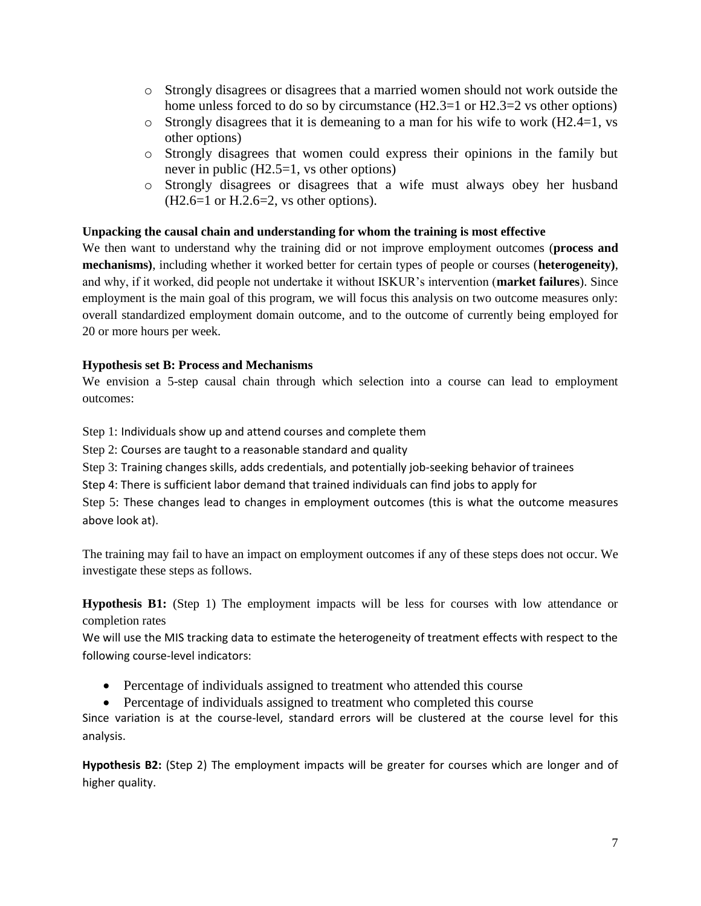- o Strongly disagrees or disagrees that a married women should not work outside the home unless forced to do so by circumstance  $(H2.3=1 \text{ or } H2.3=2 \text{ vs other options})$
- o Strongly disagrees that it is demeaning to a man for his wife to work (H2.4=1, vs other options)
- o Strongly disagrees that women could express their opinions in the family but never in public (H2.5=1, vs other options)
- o Strongly disagrees or disagrees that a wife must always obey her husband (H2.6=1 or H.2.6=2, vs other options).

### **Unpacking the causal chain and understanding for whom the training is most effective**

We then want to understand why the training did or not improve employment outcomes (**process and mechanisms)**, including whether it worked better for certain types of people or courses (**heterogeneity)**, and why, if it worked, did people not undertake it without ISKUR's intervention (**market failures**). Since employment is the main goal of this program, we will focus this analysis on two outcome measures only: overall standardized employment domain outcome, and to the outcome of currently being employed for 20 or more hours per week.

## **Hypothesis set B: Process and Mechanisms**

We envision a 5-step causal chain through which selection into a course can lead to employment outcomes:

Step 1: Individuals show up and attend courses and complete them

Step 2: Courses are taught to a reasonable standard and quality

Step 3: Training changes skills, adds credentials, and potentially job-seeking behavior of trainees

Step 4: There is sufficient labor demand that trained individuals can find jobs to apply for

Step 5: These changes lead to changes in employment outcomes (this is what the outcome measures above look at).

The training may fail to have an impact on employment outcomes if any of these steps does not occur. We investigate these steps as follows.

**Hypothesis B1:** (Step 1) The employment impacts will be less for courses with low attendance or completion rates

We will use the MIS tracking data to estimate the heterogeneity of treatment effects with respect to the following course-level indicators:

- Percentage of individuals assigned to treatment who attended this course
- Percentage of individuals assigned to treatment who completed this course

Since variation is at the course-level, standard errors will be clustered at the course level for this analysis.

**Hypothesis B2:** (Step 2) The employment impacts will be greater for courses which are longer and of higher quality.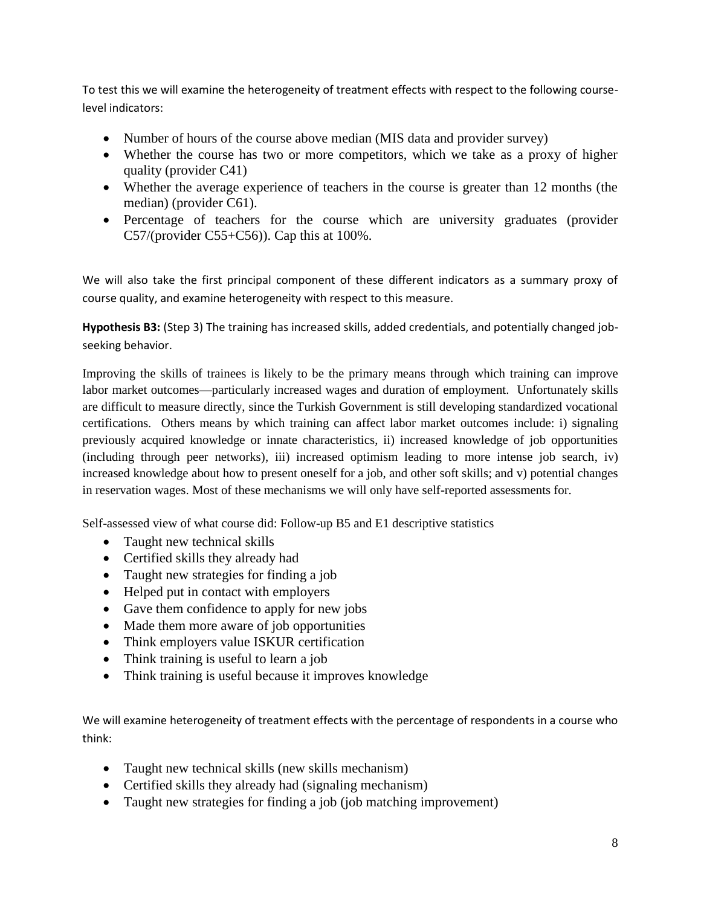To test this we will examine the heterogeneity of treatment effects with respect to the following courselevel indicators:

- Number of hours of the course above median (MIS data and provider survey)
- Whether the course has two or more competitors, which we take as a proxy of higher quality (provider C41)
- Whether the average experience of teachers in the course is greater than 12 months (the median) (provider C61).
- Percentage of teachers for the course which are university graduates (provider C57/(provider C55+C56)). Cap this at  $100\%$ .

We will also take the first principal component of these different indicators as a summary proxy of course quality, and examine heterogeneity with respect to this measure.

**Hypothesis B3:** (Step 3) The training has increased skills, added credentials, and potentially changed jobseeking behavior.

Improving the skills of trainees is likely to be the primary means through which training can improve labor market outcomes—particularly increased wages and duration of employment. Unfortunately skills are difficult to measure directly, since the Turkish Government is still developing standardized vocational certifications. Others means by which training can affect labor market outcomes include: i) signaling previously acquired knowledge or innate characteristics, ii) increased knowledge of job opportunities (including through peer networks), iii) increased optimism leading to more intense job search, iv) increased knowledge about how to present oneself for a job, and other soft skills; and v) potential changes in reservation wages. Most of these mechanisms we will only have self-reported assessments for.

Self-assessed view of what course did: Follow-up B5 and E1 descriptive statistics

- Taught new technical skills
- Certified skills they already had
- Taught new strategies for finding a job
- Helped put in contact with employers
- Gave them confidence to apply for new jobs
- Made them more aware of job opportunities
- Think employers value ISKUR certification
- Think training is useful to learn a job
- Think training is useful because it improves knowledge

We will examine heterogeneity of treatment effects with the percentage of respondents in a course who think:

- Taught new technical skills (new skills mechanism)
- Certified skills they already had (signaling mechanism)
- Taught new strategies for finding a job (job matching improvement)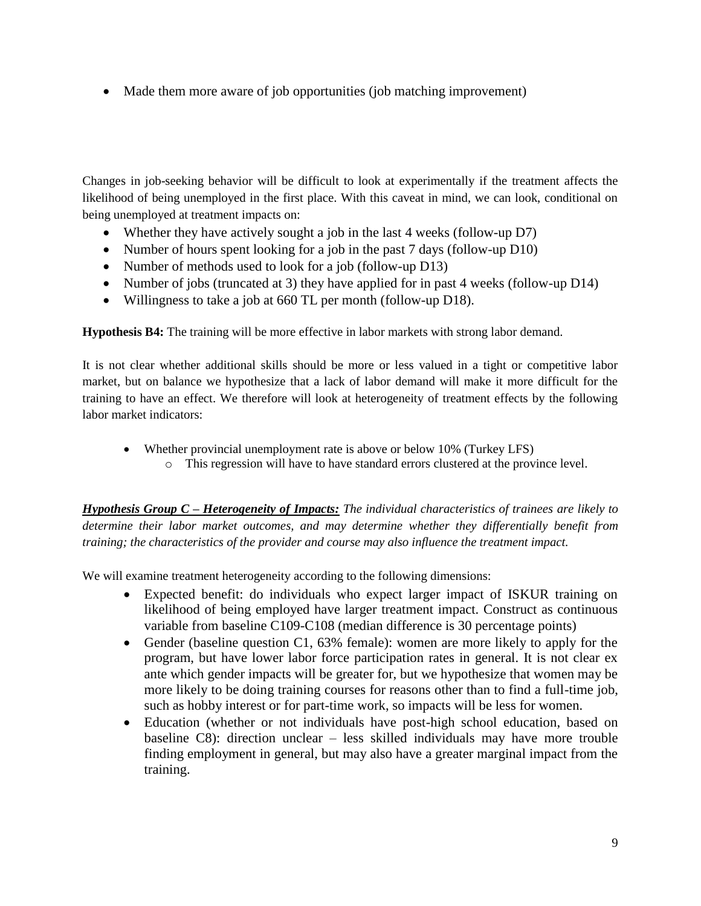• Made them more aware of job opportunities (job matching improvement)

Changes in job-seeking behavior will be difficult to look at experimentally if the treatment affects the likelihood of being unemployed in the first place. With this caveat in mind, we can look, conditional on being unemployed at treatment impacts on:

- Whether they have actively sought a job in the last 4 weeks (follow-up D7)
- Number of hours spent looking for a job in the past 7 days (follow-up D10)
- Number of methods used to look for a job (follow-up D13)
- Number of jobs (truncated at 3) they have applied for in past 4 weeks (follow-up D14)
- Willingness to take a job at 660 TL per month (follow-up D18).

**Hypothesis B4:** The training will be more effective in labor markets with strong labor demand.

It is not clear whether additional skills should be more or less valued in a tight or competitive labor market, but on balance we hypothesize that a lack of labor demand will make it more difficult for the training to have an effect. We therefore will look at heterogeneity of treatment effects by the following labor market indicators:

- Whether provincial unemployment rate is above or below 10% (Turkey LFS)
	- o This regression will have to have standard errors clustered at the province level.

*Hypothesis Group C – Heterogeneity of Impacts: The individual characteristics of trainees are likely to determine their labor market outcomes, and may determine whether they differentially benefit from training; the characteristics of the provider and course may also influence the treatment impact.*

We will examine treatment heterogeneity according to the following dimensions:

- Expected benefit: do individuals who expect larger impact of ISKUR training on likelihood of being employed have larger treatment impact. Construct as continuous variable from baseline C109-C108 (median difference is 30 percentage points)
- Gender (baseline question C1, 63% female): women are more likely to apply for the program, but have lower labor force participation rates in general. It is not clear ex ante which gender impacts will be greater for, but we hypothesize that women may be more likely to be doing training courses for reasons other than to find a full-time job, such as hobby interest or for part-time work, so impacts will be less for women.
- Education (whether or not individuals have post-high school education, based on baseline C8): direction unclear – less skilled individuals may have more trouble finding employment in general, but may also have a greater marginal impact from the training.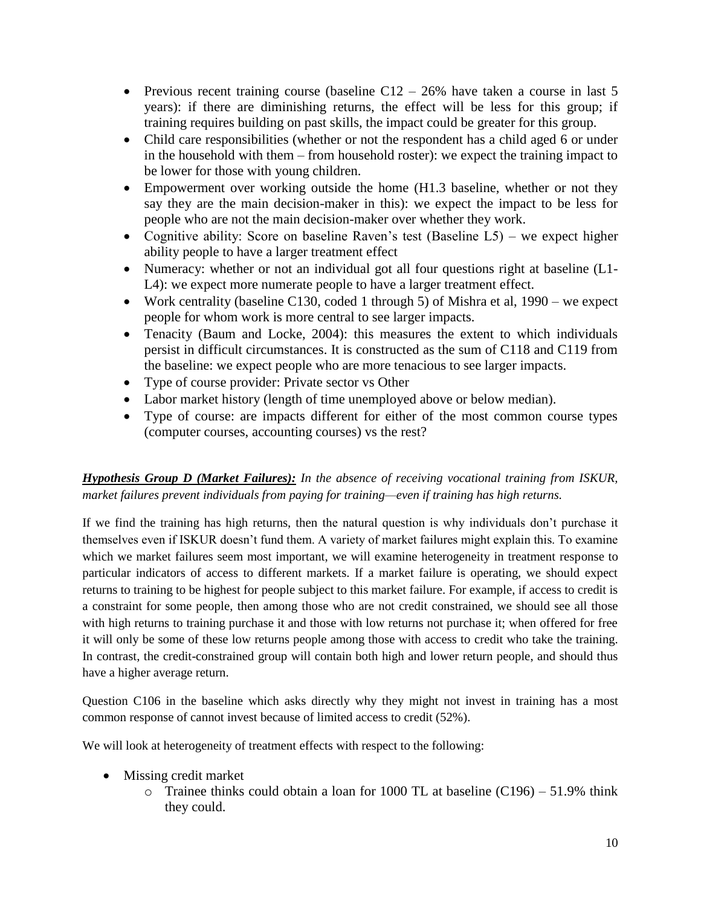- Previous recent training course (baseline  $C12 26\%$  have taken a course in last 5 years): if there are diminishing returns, the effect will be less for this group; if training requires building on past skills, the impact could be greater for this group.
- Child care responsibilities (whether or not the respondent has a child aged 6 or under in the household with them – from household roster): we expect the training impact to be lower for those with young children.
- Empowerment over working outside the home (H1.3 baseline, whether or not they say they are the main decision-maker in this): we expect the impact to be less for people who are not the main decision-maker over whether they work.
- Cognitive ability: Score on baseline Raven's test (Baseline L5) we expect higher ability people to have a larger treatment effect
- Numeracy: whether or not an individual got all four questions right at baseline (L1-L4): we expect more numerate people to have a larger treatment effect.
- Work centrality (baseline C130, coded 1 through 5) of Mishra et al, 1990 we expect people for whom work is more central to see larger impacts.
- Tenacity (Baum and Locke, 2004): this measures the extent to which individuals persist in difficult circumstances. It is constructed as the sum of C118 and C119 from the baseline: we expect people who are more tenacious to see larger impacts.
- Type of course provider: Private sector vs Other
- Labor market history (length of time unemployed above or below median).
- Type of course: are impacts different for either of the most common course types (computer courses, accounting courses) vs the rest?

*Hypothesis Group D (Market Failures): In the absence of receiving vocational training from ISKUR, market failures prevent individuals from paying for training—even if training has high returns.* 

If we find the training has high returns, then the natural question is why individuals don't purchase it themselves even if ISKUR doesn't fund them. A variety of market failures might explain this. To examine which we market failures seem most important, we will examine heterogeneity in treatment response to particular indicators of access to different markets. If a market failure is operating, we should expect returns to training to be highest for people subject to this market failure. For example, if access to credit is a constraint for some people, then among those who are not credit constrained, we should see all those with high returns to training purchase it and those with low returns not purchase it; when offered for free it will only be some of these low returns people among those with access to credit who take the training. In contrast, the credit-constrained group will contain both high and lower return people, and should thus have a higher average return.

Question C106 in the baseline which asks directly why they might not invest in training has a most common response of cannot invest because of limited access to credit (52%).

We will look at heterogeneity of treatment effects with respect to the following:

- Missing credit market
	- $\circ$  Trainee thinks could obtain a loan for 1000 TL at baseline (C196) 51.9% think they could.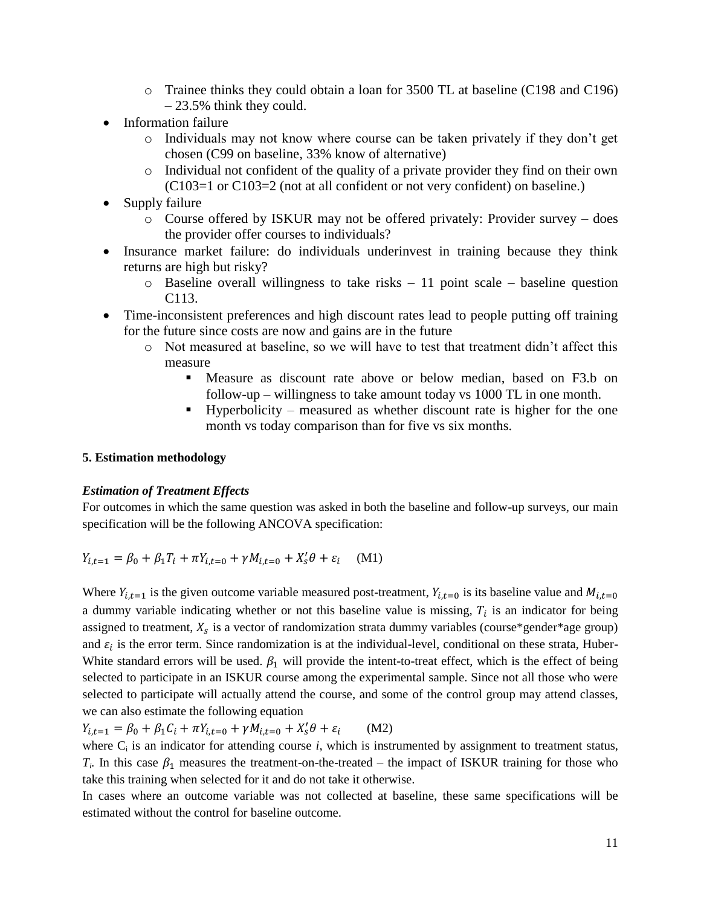- o Trainee thinks they could obtain a loan for 3500 TL at baseline (C198 and C196) – 23.5% think they could.
- Information failure
	- o Individuals may not know where course can be taken privately if they don't get chosen (C99 on baseline, 33% know of alternative)
	- o Individual not confident of the quality of a private provider they find on their own (C103=1 or C103=2 (not at all confident or not very confident) on baseline.)
- Supply failure
	- o Course offered by ISKUR may not be offered privately: Provider survey does the provider offer courses to individuals?
- Insurance market failure: do individuals underinvest in training because they think returns are high but risky?
	- $\circ$  Baseline overall willingness to take risks 11 point scale baseline question C113.
- Time-inconsistent preferences and high discount rates lead to people putting off training for the future since costs are now and gains are in the future
	- o Not measured at baseline, so we will have to test that treatment didn't affect this measure
		- Measure as discount rate above or below median, based on F3.b on follow-up – willingness to take amount today vs 1000 TL in one month.
		- Hyperbolicity measured as whether discount rate is higher for the one month vs today comparison than for five vs six months.

#### **5. Estimation methodology**

### *Estimation of Treatment Effects*

For outcomes in which the same question was asked in both the baseline and follow-up surveys, our main specification will be the following ANCOVA specification:

$$
Y_{i,t=1} = \beta_0 + \beta_1 T_i + \pi Y_{i,t=0} + \gamma M_{i,t=0} + X_s' \theta + \varepsilon_i \quad (M1)
$$

Where  $Y_{i,t=1}$  is the given outcome variable measured post-treatment,  $Y_{i,t=0}$  is its baseline value and  $M_{i,t=0}$ a dummy variable indicating whether or not this baseline value is missing,  $T_i$  is an indicator for being assigned to treatment,  $X_s$  is a vector of randomization strata dummy variables (course\*gender\*age group) and  $\varepsilon_i$  is the error term. Since randomization is at the individual-level, conditional on these strata, Huber-White standard errors will be used.  $\beta_1$  will provide the intent-to-treat effect, which is the effect of being selected to participate in an ISKUR course among the experimental sample. Since not all those who were selected to participate will actually attend the course, and some of the control group may attend classes, we can also estimate the following equation

 $Y_{i,t=1} = \beta_0 + \beta_1 C_i + \pi Y_{i,t=0} + \gamma M_{i,t=0} + X'_s$ (M2)

where  $C_i$  is an indicator for attending course  $i$ , which is instrumented by assignment to treatment status,  $T_i$ . In this case  $\beta_1$  measures the treatment-on-the-treated – the impact of ISKUR training for those who take this training when selected for it and do not take it otherwise.

In cases where an outcome variable was not collected at baseline, these same specifications will be estimated without the control for baseline outcome.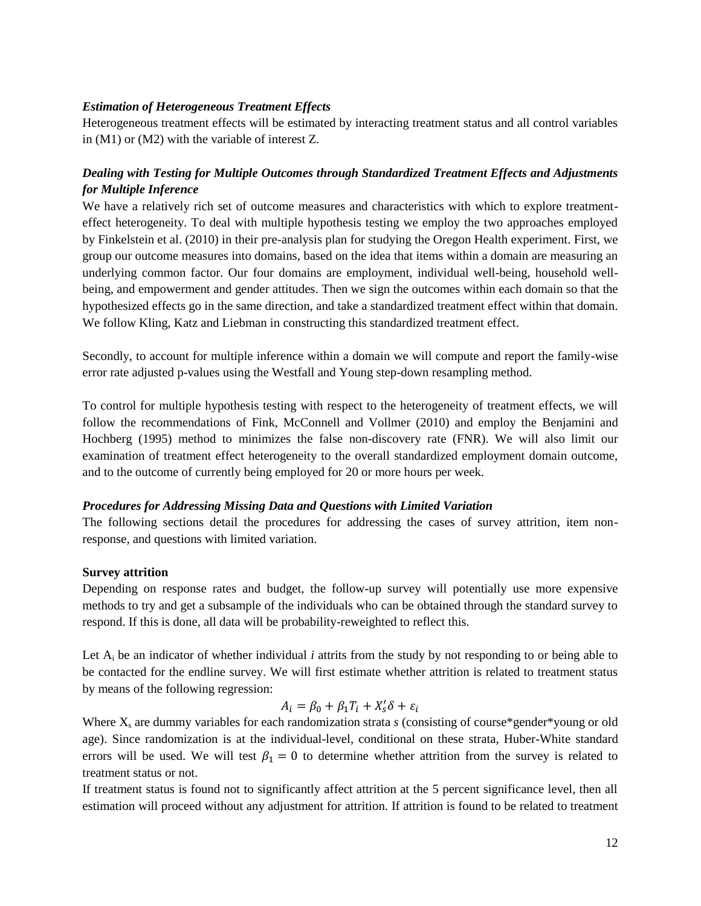#### *Estimation of Heterogeneous Treatment Effects*

Heterogeneous treatment effects will be estimated by interacting treatment status and all control variables in (M1) or (M2) with the variable of interest Z.

# *Dealing with Testing for Multiple Outcomes through Standardized Treatment Effects and Adjustments for Multiple Inference*

We have a relatively rich set of outcome measures and characteristics with which to explore treatmenteffect heterogeneity. To deal with multiple hypothesis testing we employ the two approaches employed by Finkelstein et al. (2010) in their pre-analysis plan for studying the Oregon Health experiment. First, we group our outcome measures into domains, based on the idea that items within a domain are measuring an underlying common factor. Our four domains are employment, individual well-being, household wellbeing, and empowerment and gender attitudes. Then we sign the outcomes within each domain so that the hypothesized effects go in the same direction, and take a standardized treatment effect within that domain. We follow Kling, Katz and Liebman in constructing this standardized treatment effect.

Secondly, to account for multiple inference within a domain we will compute and report the family-wise error rate adjusted p-values using the Westfall and Young step-down resampling method.

To control for multiple hypothesis testing with respect to the heterogeneity of treatment effects, we will follow the recommendations of Fink, McConnell and Vollmer (2010) and employ the Benjamini and Hochberg (1995) method to minimizes the false non-discovery rate (FNR). We will also limit our examination of treatment effect heterogeneity to the overall standardized employment domain outcome, and to the outcome of currently being employed for 20 or more hours per week.

#### *Procedures for Addressing Missing Data and Questions with Limited Variation*

The following sections detail the procedures for addressing the cases of survey attrition, item nonresponse, and questions with limited variation.

### **Survey attrition**

Depending on response rates and budget, the follow-up survey will potentially use more expensive methods to try and get a subsample of the individuals who can be obtained through the standard survey to respond. If this is done, all data will be probability-reweighted to reflect this.

Let  $A_i$  be an indicator of whether individual *i* attrits from the study by not responding to or being able to be contacted for the endline survey. We will first estimate whether attrition is related to treatment status by means of the following regression:

$$
A_i = \beta_0 + \beta_1 T_i + X_s' \delta + \varepsilon_i
$$

Where X<sub>s</sub> are dummy variables for each randomization strata *s* (consisting of course\*gender\*young or old age). Since randomization is at the individual-level, conditional on these strata, Huber-White standard errors will be used. We will test  $\beta_1 = 0$  to determine whether attrition from the survey is related to treatment status or not.

If treatment status is found not to significantly affect attrition at the 5 percent significance level, then all estimation will proceed without any adjustment for attrition. If attrition is found to be related to treatment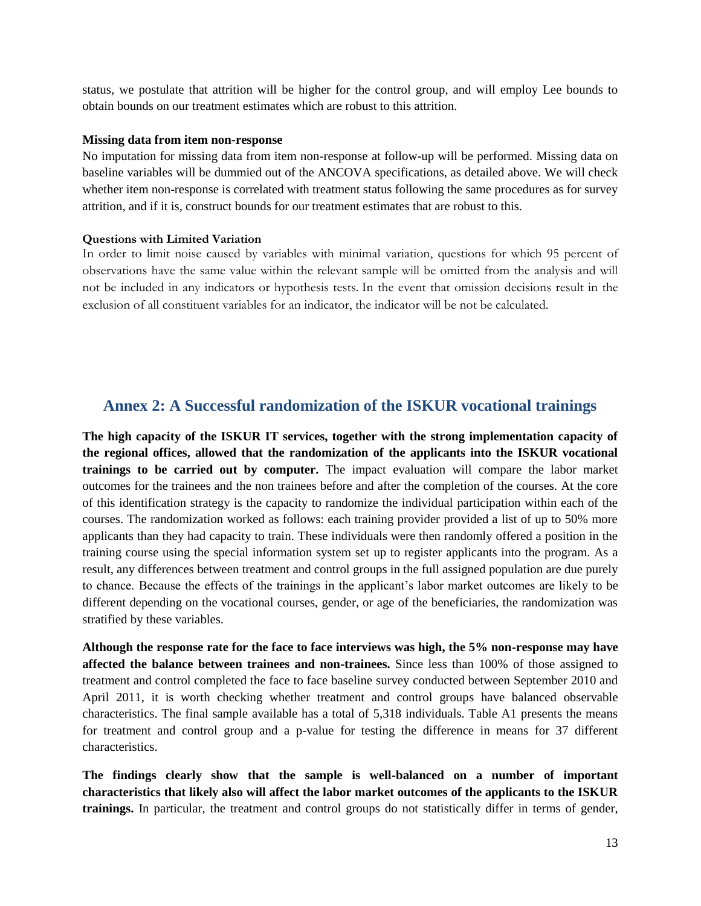status, we postulate that attrition will be higher for the control group, and will employ Lee bounds to obtain bounds on our treatment estimates which are robust to this attrition.

#### **Missing data from item non-response**

No imputation for missing data from item non-response at follow-up will be performed. Missing data on baseline variables will be dummied out of the ANCOVA specifications, as detailed above. We will check whether item non-response is correlated with treatment status following the same procedures as for survey attrition, and if it is, construct bounds for our treatment estimates that are robust to this.

#### **Questions with Limited Variation**

In order to limit noise caused by variables with minimal variation, questions for which 95 percent of observations have the same value within the relevant sample will be omitted from the analysis and will not be included in any indicators or hypothesis tests. In the event that omission decisions result in the exclusion of all constituent variables for an indicator, the indicator will be not be calculated.

# **Annex 2: A Successful randomization of the ISKUR vocational trainings**

**The high capacity of the ISKUR IT services, together with the strong implementation capacity of the regional offices, allowed that the randomization of the applicants into the ISKUR vocational trainings to be carried out by computer.** The impact evaluation will compare the labor market outcomes for the trainees and the non trainees before and after the completion of the courses. At the core of this identification strategy is the capacity to randomize the individual participation within each of the courses. The randomization worked as follows: each training provider provided a list of up to 50% more applicants than they had capacity to train. These individuals were then randomly offered a position in the training course using the special information system set up to register applicants into the program. As a result, any differences between treatment and control groups in the full assigned population are due purely to chance. Because the effects of the trainings in the applicant's labor market outcomes are likely to be different depending on the vocational courses, gender, or age of the beneficiaries, the randomization was stratified by these variables.

**Although the response rate for the face to face interviews was high, the 5% non-response may have affected the balance between trainees and non-trainees.** Since less than 100% of those assigned to treatment and control completed the face to face baseline survey conducted between September 2010 and April 2011, it is worth checking whether treatment and control groups have balanced observable characteristics. The final sample available has a total of 5,318 individuals. Table A1 presents the means for treatment and control group and a p-value for testing the difference in means for 37 different characteristics.

**The findings clearly show that the sample is well-balanced on a number of important characteristics that likely also will affect the labor market outcomes of the applicants to the ISKUR trainings.** In particular, the treatment and control groups do not statistically differ in terms of gender,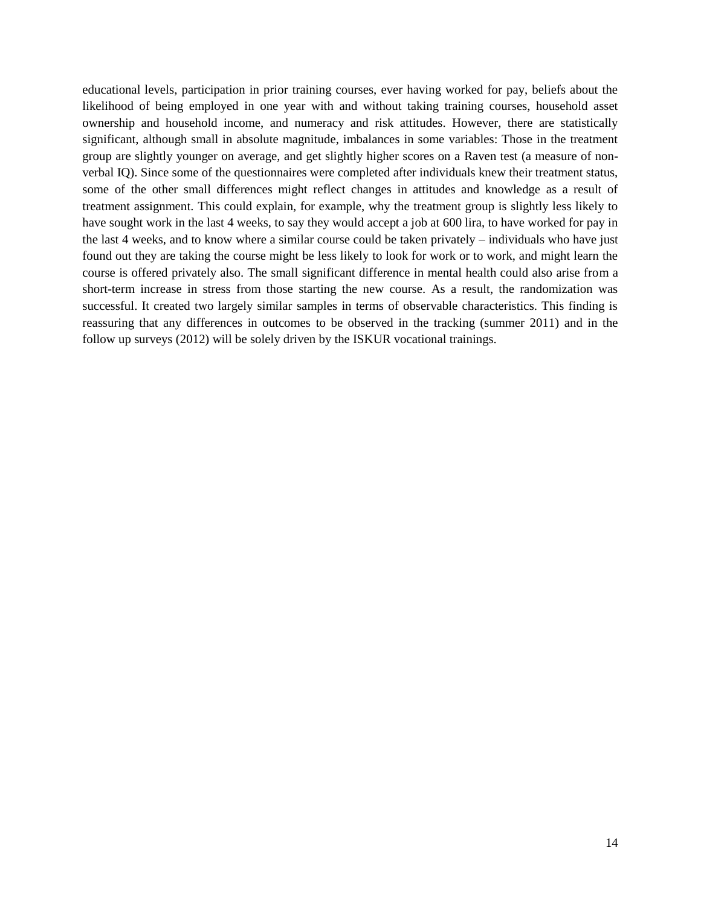educational levels, participation in prior training courses, ever having worked for pay, beliefs about the likelihood of being employed in one year with and without taking training courses, household asset ownership and household income, and numeracy and risk attitudes. However, there are statistically significant, although small in absolute magnitude, imbalances in some variables: Those in the treatment group are slightly younger on average, and get slightly higher scores on a Raven test (a measure of nonverbal IQ). Since some of the questionnaires were completed after individuals knew their treatment status, some of the other small differences might reflect changes in attitudes and knowledge as a result of treatment assignment. This could explain, for example, why the treatment group is slightly less likely to have sought work in the last 4 weeks, to say they would accept a job at 600 lira, to have worked for pay in the last 4 weeks, and to know where a similar course could be taken privately – individuals who have just found out they are taking the course might be less likely to look for work or to work, and might learn the course is offered privately also. The small significant difference in mental health could also arise from a short-term increase in stress from those starting the new course. As a result, the randomization was successful. It created two largely similar samples in terms of observable characteristics. This finding is reassuring that any differences in outcomes to be observed in the tracking (summer 2011) and in the follow up surveys (2012) will be solely driven by the ISKUR vocational trainings.